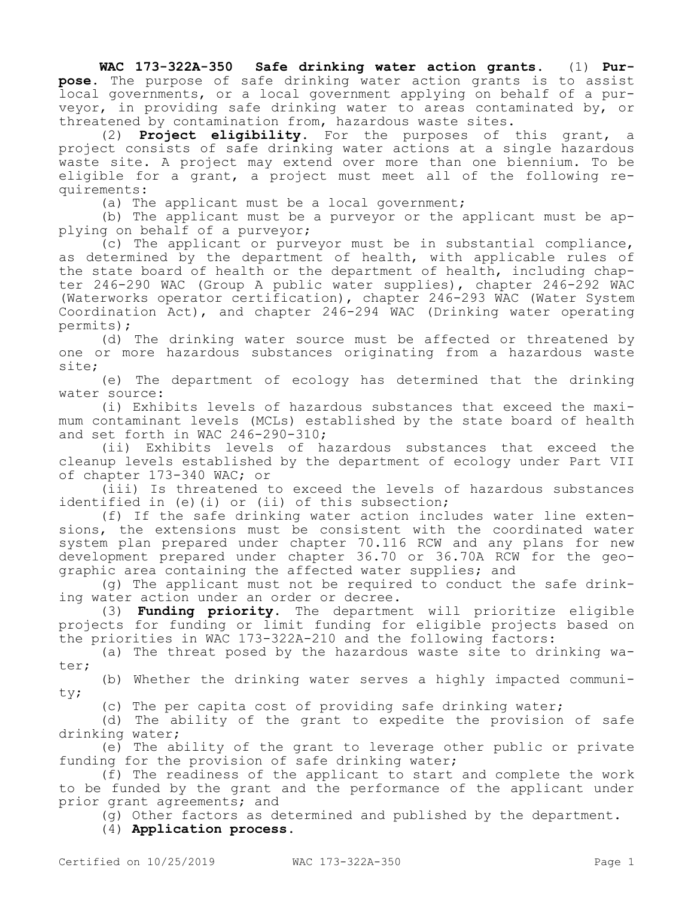**WAC 173-322A-350 Safe drinking water action grants.** (1) **Purpose.** The purpose of safe drinking water action grants is to assist local governments, or a local government applying on behalf of a purveyor, in providing safe drinking water to areas contaminated by, or threatened by contamination from, hazardous waste sites.

(2) **Project eligibility.** For the purposes of this grant, a project consists of safe drinking water actions at a single hazardous waste site. A project may extend over more than one biennium. To be eligible for a grant, a project must meet all of the following requirements:

(a) The applicant must be a local government;

(b) The applicant must be a purveyor or the applicant must be applying on behalf of a purveyor;

(c) The applicant or purveyor must be in substantial compliance, as determined by the department of health, with applicable rules of the state board of health or the department of health, including chapter 246-290 WAC (Group A public water supplies), chapter 246-292 WAC (Waterworks operator certification), chapter 246-293 WAC (Water System Coordination Act), and chapter 246-294 WAC (Drinking water operating permits);

(d) The drinking water source must be affected or threatened by one or more hazardous substances originating from a hazardous waste site;

(e) The department of ecology has determined that the drinking water source:

(i) Exhibits levels of hazardous substances that exceed the maximum contaminant levels (MCLs) established by the state board of health and set forth in WAC 246-290-310;

(ii) Exhibits levels of hazardous substances that exceed the cleanup levels established by the department of ecology under Part VII of chapter 173-340 WAC; or

(iii) Is threatened to exceed the levels of hazardous substances identified in (e)(i) or (ii) of this subsection;

(f) If the safe drinking water action includes water line extensions, the extensions must be consistent with the coordinated water system plan prepared under chapter 70.116 RCW and any plans for new development prepared under chapter 36.70 or 36.70A RCW for the geographic area containing the affected water supplies; and

(g) The applicant must not be required to conduct the safe drinking water action under an order or decree.

(3) **Funding priority.** The department will prioritize eligible projects for funding or limit funding for eligible projects based on the priorities in WAC 173-322A-210 and the following factors:

(a) The threat posed by the hazardous waste site to drinking water;

(b) Whether the drinking water serves a highly impacted community;

(c) The per capita cost of providing safe drinking water;

(d) The ability of the grant to expedite the provision of safe drinking water;

(e) The ability of the grant to leverage other public or private funding for the provision of safe drinking water;

(f) The readiness of the applicant to start and complete the work to be funded by the grant and the performance of the applicant under prior grant agreements; and

(g) Other factors as determined and published by the department.

(4) **Application process.**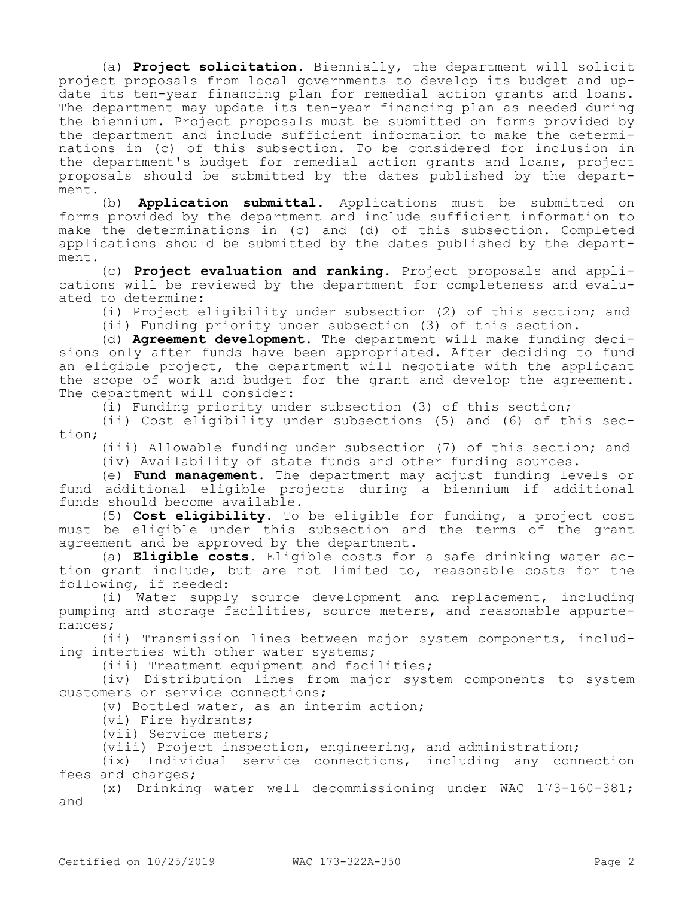(a) **Project solicitation.** Biennially, the department will solicit project proposals from local governments to develop its budget and update its ten-year financing plan for remedial action grants and loans. The department may update its ten-year financing plan as needed during the biennium. Project proposals must be submitted on forms provided by the department and include sufficient information to make the determinations in (c) of this subsection. To be considered for inclusion in the department's budget for remedial action grants and loans, project proposals should be submitted by the dates published by the department.

(b) **Application submittal.** Applications must be submitted on forms provided by the department and include sufficient information to make the determinations in (c) and (d) of this subsection. Completed applications should be submitted by the dates published by the department.

(c) **Project evaluation and ranking.** Project proposals and applications will be reviewed by the department for completeness and evaluated to determine:

(i) Project eligibility under subsection (2) of this section; and

(ii) Funding priority under subsection (3) of this section.

(d) **Agreement development.** The department will make funding decisions only after funds have been appropriated. After deciding to fund an eligible project, the department will negotiate with the applicant the scope of work and budget for the grant and develop the agreement. The department will consider:

(i) Funding priority under subsection (3) of this section;

(ii) Cost eligibility under subsections (5) and (6) of this section;

(iii) Allowable funding under subsection (7) of this section; and

(iv) Availability of state funds and other funding sources.

(e) **Fund management.** The department may adjust funding levels or fund additional eligible projects during a biennium if additional funds should become available.

(5) **Cost eligibility.** To be eligible for funding, a project cost must be eligible under this subsection and the terms of the grant agreement and be approved by the department.

(a) **Eligible costs.** Eligible costs for a safe drinking water action grant include, but are not limited to, reasonable costs for the following, if needed:

(i) Water supply source development and replacement, including pumping and storage facilities, source meters, and reasonable appurtenances;

(ii) Transmission lines between major system components, including interties with other water systems;

(iii) Treatment equipment and facilities;

(iv) Distribution lines from major system components to system customers or service connections;

(v) Bottled water, as an interim action;

(vi) Fire hydrants;

(vii) Service meters;

(viii) Project inspection, engineering, and administration;

(ix) Individual service connections, including any connection fees and charges;

(x) Drinking water well decommissioning under WAC 173-160-381; and